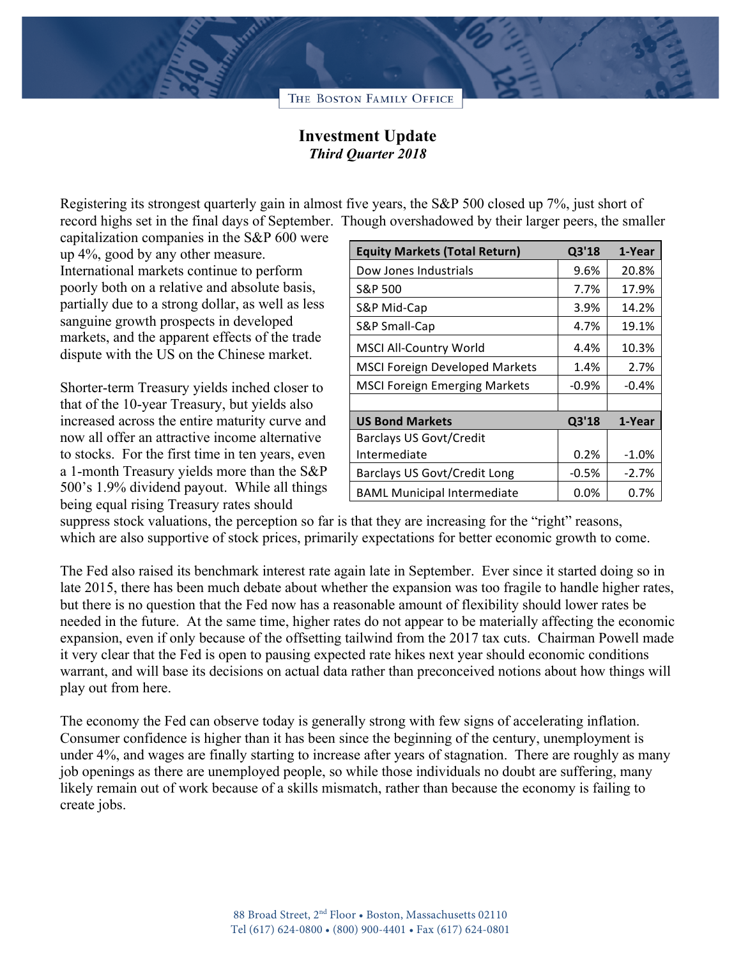

## **Investment Update** *Third Quarter 2018*

Registering its strongest quarterly gain in almost five years, the S&P 500 closed up 7%, just short of record highs set in the final days of September. Though overshadowed by their larger peers, the smaller

capitalization companies in the S&P 600 were up 4%, good by any other measure. International markets continue to perform poorly both on a relative and absolute basis, partially due to a strong dollar, as well as less sanguine growth prospects in developed markets, and the apparent effects of the trade dispute with the US on the Chinese market.

Shorter-term Treasury yields inched closer to that of the 10-year Treasury, but yields also increased across the entire maturity curve and now all offer an attractive income alternative to stocks. For the first time in ten years, even a 1-month Treasury yields more than the S&P 500's 1.9% dividend payout. While all things being equal rising Treasury rates should

| <b>Equity Markets (Total Return)</b>  | Q3'18   | 1-Year  |
|---------------------------------------|---------|---------|
| Dow Jones Industrials                 | 9.6%    | 20.8%   |
| S&P 500                               | 7.7%    | 17.9%   |
| S&P Mid-Cap                           | 3.9%    | 14.2%   |
| S&P Small-Cap                         | 4.7%    | 19.1%   |
| <b>MSCI All-Country World</b>         | 4.4%    | 10.3%   |
| <b>MSCI Foreign Developed Markets</b> | 1.4%    | 2.7%    |
| <b>MSCI Foreign Emerging Markets</b>  | $-0.9%$ | $-0.4%$ |
|                                       |         |         |
| <b>US Bond Markets</b>                | Q3'18   | 1-Year  |
| <b>Barclays US Govt/Credit</b>        |         |         |
| Intermediate                          | 0.2%    | $-1.0%$ |
| Barclays US Govt/Credit Long          | $-0.5%$ | $-2.7%$ |
| <b>BAML Municipal Intermediate</b>    | $0.0\%$ | 0.7%    |

suppress stock valuations, the perception so far is that they are increasing for the "right" reasons, which are also supportive of stock prices, primarily expectations for better economic growth to come.

The Fed also raised its benchmark interest rate again late in September. Ever since it started doing so in late 2015, there has been much debate about whether the expansion was too fragile to handle higher rates, but there is no question that the Fed now has a reasonable amount of flexibility should lower rates be needed in the future. At the same time, higher rates do not appear to be materially affecting the economic expansion, even if only because of the offsetting tailwind from the 2017 tax cuts. Chairman Powell made it very clear that the Fed is open to pausing expected rate hikes next year should economic conditions warrant, and will base its decisions on actual data rather than preconceived notions about how things will play out from here.

The economy the Fed can observe today is generally strong with few signs of accelerating inflation. Consumer confidence is higher than it has been since the beginning of the century, unemployment is under 4%, and wages are finally starting to increase after years of stagnation. There are roughly as many job openings as there are unemployed people, so while those individuals no doubt are suffering, many likely remain out of work because of a skills mismatch, rather than because the economy is failing to create jobs.